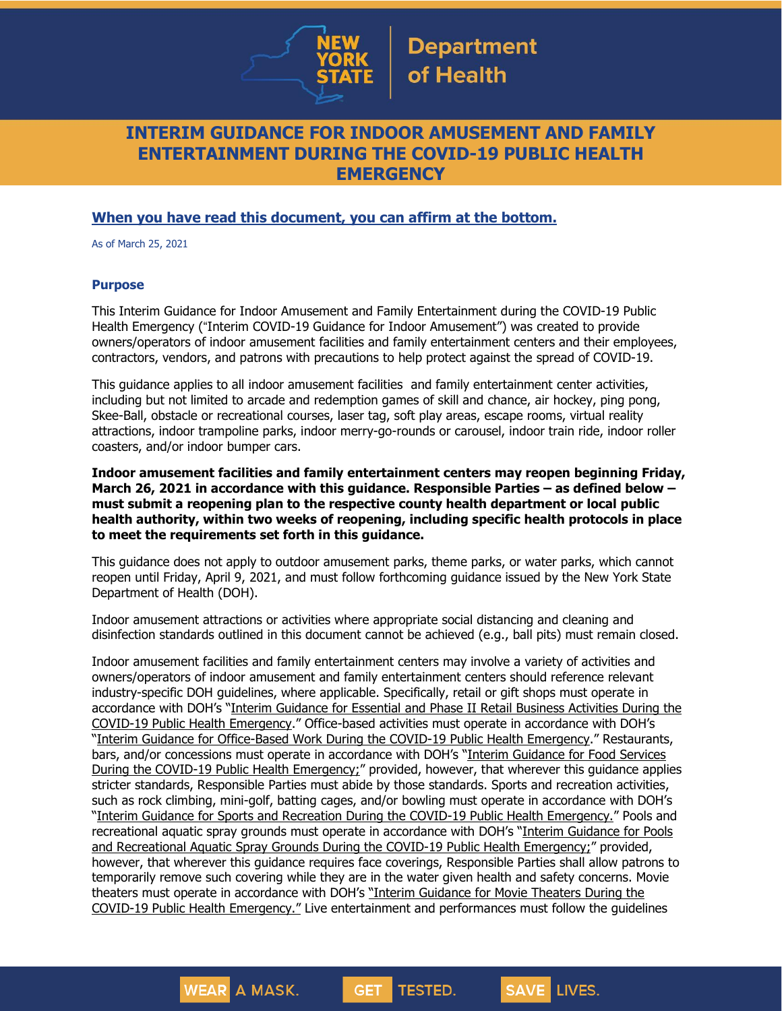

## **INTERIM GUIDANCE FOR INDOOR AMUSEMENT AND FAMILY ENTERTAINMENT DURING THE COVID-19 PUBLIC HEALTH EMERGENCY**

### **When you have read this document, you can affirm at the bottom.**

As of March 25, 2021

#### **Purpose**

This Interim Guidance for Indoor Amusement and Family Entertainment during the COVID-19 Public Health Emergency ("Interim COVID-19 Guidance for Indoor Amusement") was created to provide owners/operators of indoor amusement facilities and family entertainment centers and their employees, contractors, vendors, and patrons with precautions to help protect against the spread of COVID-19.

This guidance applies to all indoor amusement facilities and family entertainment center activities, including but not limited to arcade and redemption games of skill and chance, air hockey, ping pong, Skee-Ball, obstacle or recreational courses, laser tag, soft play areas, escape rooms, virtual reality attractions, indoor trampoline parks, indoor merry-go-rounds or carousel, indoor train ride, indoor roller coasters, and/or indoor bumper cars.

**Indoor amusement facilities and family entertainment centers may reopen beginning Friday, March 26, 2021 in accordance with this guidance. Responsible Parties – as defined below – must submit a reopening plan to the respective county health department or local public health authority, within two weeks of reopening, including specific health protocols in place to meet the requirements set forth in this guidance.**

This guidance does not apply to outdoor amusement parks, theme parks, or water parks, which cannot reopen until Friday, April 9, 2021, and must follow forthcoming guidance issued by the New York State Department of Health (DOH).

Indoor amusement attractions or activities where appropriate social distancing and cleaning and disinfection standards outlined in this document cannot be achieved (e.g., ball pits) must remain closed.

Indoor amusement facilities and family entertainment centers may involve a variety of activities and owners/operators of indoor amusement and family entertainment centers should reference relevant industry-specific DOH guidelines, where applicable. Specifically, retail or gift shops must operate in accordance with DOH's "Interim [Guidance](https://www.governor.ny.gov/sites/governor.ny.gov/files/atoms/files/RetailMasterGuidance.pdf) for Essential and Phase II Retail Business Activities During the COVID-19 Public Health [Emergency](https://www.governor.ny.gov/sites/governor.ny.gov/files/atoms/files/RetailMasterGuidance.pdf)." Office-based activities must operate in accordance with DOH's "Interim Guidance for [Office-Based](https://www.governor.ny.gov/sites/governor.ny.gov/files/atoms/files/offices-interim-guidance.pdf) Work During the COVID-19 Public Health Emergency." Restaurants, bars, and/or concessions must operate in accordance with DOH's "Interim [Guidance](https://www.governor.ny.gov/sites/governor.ny.gov/files/atoms/files/Indoor_and_Outdoor_Food_Services_Detailed_Guidelines.pdf) for Food Services During the COVID-19 Public Health [Emergency;](https://www.governor.ny.gov/sites/governor.ny.gov/files/atoms/files/Indoor_and_Outdoor_Food_Services_Detailed_Guidelines.pdf)" provided, however, that wherever this guidance applies stricter standards, Responsible Parties must abide by those standards. Sports and recreation activities, such as rock climbing, mini-golf, batting cages, and/or bowling must operate in accordance with DOH's "Interim Guidance for Sports and Recreation During the COVID-19 Public Health [Emergency.](https://www.governor.ny.gov/sites/governor.ny.gov/files/atoms/files/SportsAndRecreationMasterGuidance.pdf)" Pools and recreational aquatic spray grounds must operate in accordance with DOH's "Interim [Guidance](https://coronavirus.health.ny.gov/system/files/documents/2020/06/doh_covid19_pooladvisory_061120_0.pdf) for Pools and [Recreational](https://coronavirus.health.ny.gov/system/files/documents/2020/06/doh_covid19_pooladvisory_061120_0.pdf) Aquatic Spray Grounds During the COVID-19 Public Health Emergency;" provided, however, that wherever this guidance requires face coverings, Responsible Parties shall allow patrons to temporarily remove such covering while they are in the water given health and safety concerns. Movie theaters must operate in accordance with DOH's "Interim [Guidance](https://www.governor.ny.gov/sites/governor.ny.gov/files/atoms/files/Movie_Theater_Detailed_Guidelines.pdf) for Movie Theaters During the COVID-19 Public Health [Emergency."](https://www.governor.ny.gov/sites/governor.ny.gov/files/atoms/files/Movie_Theater_Detailed_Guidelines.pdf) Live entertainment and performances must follow the guidelines

**TESTED.** 

**GET** 

**SAVE LIVES.** 

**WEAR A MASK.**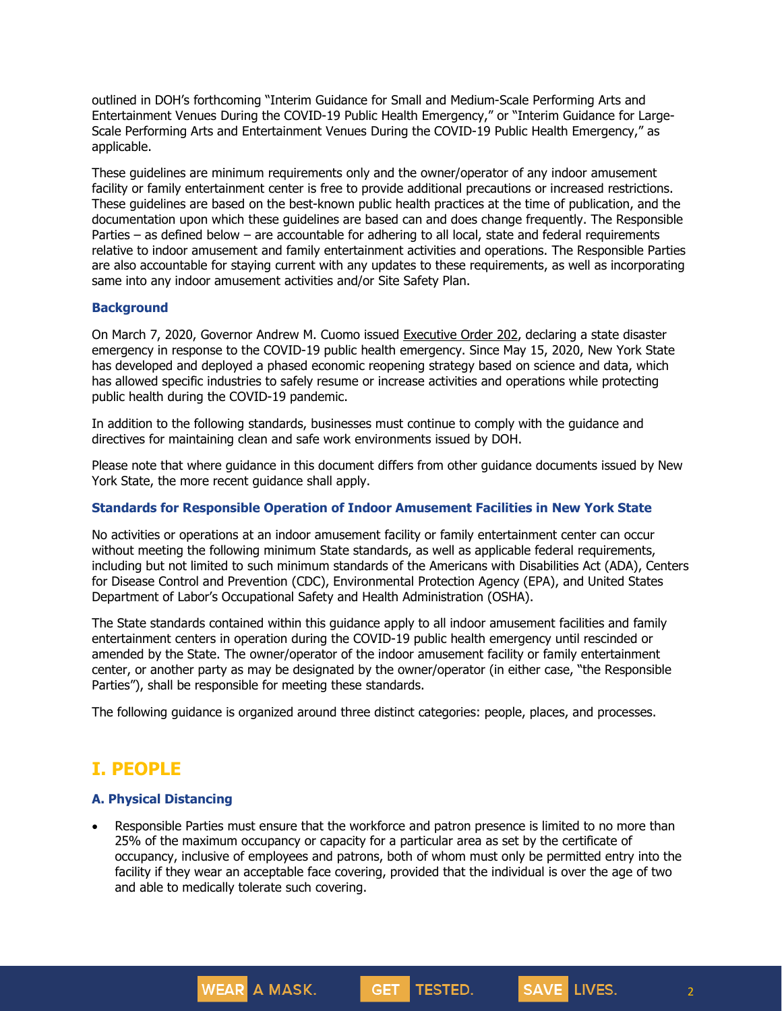outlined in DOH's forthcoming "Interim Guidance for Small and Medium-Scale Performing Arts and Entertainment Venues During the COVID-19 Public Health Emergency," or "Interim Guidance for Large-Scale Performing Arts and Entertainment Venues During the COVID-19 Public Health Emergency," as applicable.

These guidelines are minimum requirements only and the owner/operator of any indoor amusement facility or family entertainment center is free to provide additional precautions or increased restrictions. These guidelines are based on the best-known public health practices at the time of publication, and the documentation upon which these guidelines are based can and does change frequently. The Responsible Parties – as defined below – are accountable for adhering to all local, state and federal requirements relative to indoor amusement and family entertainment activities and operations. The Responsible Parties are also accountable for staying current with any updates to these requirements, as well as incorporating same into any indoor amusement activities and/or Site Safety Plan.

#### **Background**

On March 7, 2020, Governor Andrew M. Cuomo issued [Executive](https://www.governor.ny.gov/news/no-202-declaring-disaster-emergency-state-new-york) Order 202, declaring a state disaster emergency in response to the COVID-19 public health emergency. Since May 15, 2020, New York State has developed and deployed a phased economic reopening strategy based on science and data, which has allowed specific industries to safely resume or increase activities and operations while protecting public health during the COVID-19 pandemic.

In addition to the following standards, businesses must continue to comply with the guidance and directives for maintaining clean and safe work environments issued by DOH.

Please note that where guidance in this document differs from other guidance documents issued by New York State, the more recent guidance shall apply.

#### **Standards for Responsible Operation of Indoor Amusement Facilities in New York State**

No activities or operations at an indoor amusement facility or family entertainment center can occur without meeting the following minimum State standards, as well as applicable federal requirements, including but not limited to such minimum standards of the Americans with Disabilities Act (ADA), Centers for Disease Control and Prevention (CDC), Environmental Protection Agency (EPA), and United States Department of Labor's Occupational Safety and Health Administration (OSHA).

The State standards contained within this guidance apply to all indoor amusement facilities and family entertainment centers in operation during the COVID-19 public health emergency until rescinded or amended by the State. The owner/operator of the indoor amusement facility or family entertainment center, or another party as may be designated by the owner/operator (in either case, "the Responsible Parties"), shall be responsible for meeting these standards.

The following guidance is organized around three distinct categories: people, places, and processes.

## **I. PEOPLE**

#### **A. Physical Distancing**

**WEAR** A MASK.

• Responsible Parties must ensure that the workforce and patron presence is limited to no more than 25% of the maximum occupancy or capacity for a particular area as set by the certificate of occupancy, inclusive of employees and patrons, both of whom must only be permitted entry into the facility if they wear an acceptable face covering, provided that the individual is over the age of two and able to medically tolerate such covering.

**GET** 

TESTED.

2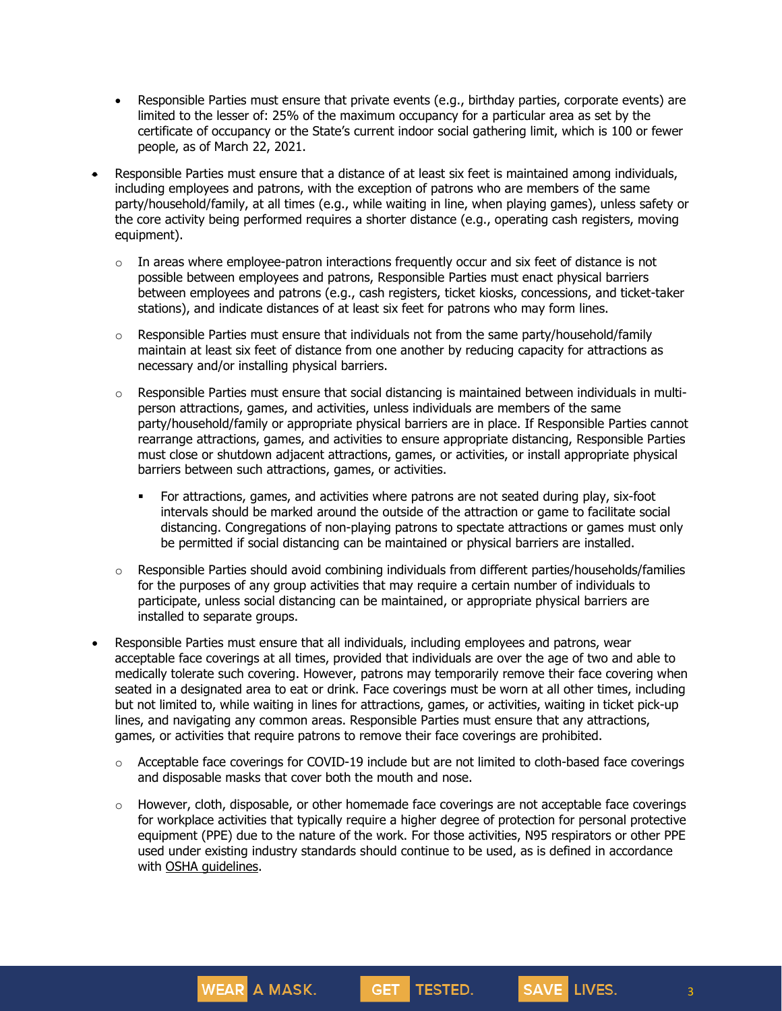- Responsible Parties must ensure that private events (e.g., birthday parties, corporate events) are limited to the lesser of: 25% of the maximum occupancy for a particular area as set by the certificate of occupancy or the State's current indoor social gathering limit, which is 100 or fewer people, as of March 22, 2021.
- Responsible Parties must ensure that a distance of at least six feet is maintained among individuals, including employees and patrons, with the exception of patrons who are members of the same party/household/family, at all times (e.g., while waiting in line, when playing games), unless safety or the core activity being performed requires a shorter distance (e.g., operating cash registers, moving equipment).
	- $\circ$  In areas where employee-patron interactions frequently occur and six feet of distance is not possible between employees and patrons, Responsible Parties must enact physical barriers between employees and patrons (e.g., cash registers, ticket kiosks, concessions, and ticket-taker stations), and indicate distances of at least six feet for patrons who may form lines.
	- $\circ$  Responsible Parties must ensure that individuals not from the same party/household/family maintain at least six feet of distance from one another by reducing capacity for attractions as necessary and/or installing physical barriers.
	- o Responsible Parties must ensure that social distancing is maintained between individuals in multiperson attractions, games, and activities, unless individuals are members of the same party/household/family or appropriate physical barriers are in place. If Responsible Parties cannot rearrange attractions, games, and activities to ensure appropriate distancing, Responsible Parties must close or shutdown adjacent attractions, games, or activities, or install appropriate physical barriers between such attractions, games, or activities.
		- For attractions, games, and activities where patrons are not seated during play, six-foot intervals should be marked around the outside of the attraction or game to facilitate social distancing. Congregations of non-playing patrons to spectate attractions or games must only be permitted if social distancing can be maintained or physical barriers are installed.
	- $\circ$  Responsible Parties should avoid combining individuals from different parties/households/families for the purposes of any group activities that may require a certain number of individuals to participate, unless social distancing can be maintained, or appropriate physical barriers are installed to separate groups.
- Responsible Parties must ensure that all individuals, including employees and patrons, wear acceptable face coverings at all times, provided that individuals are over the age of two and able to medically tolerate such covering. However, patrons may temporarily remove their face covering when seated in a designated area to eat or drink. Face coverings must be worn at all other times, including but not limited to, while waiting in lines for attractions, games, or activities, waiting in ticket pick-up lines, and navigating any common areas. Responsible Parties must ensure that any attractions, games, or activities that require patrons to remove their face coverings are prohibited.
	- $\circ$  Acceptable face coverings for COVID-19 include but are not limited to cloth-based face coverings and disposable masks that cover both the mouth and nose.
	- $\circ$  However, cloth, disposable, or other homemade face coverings are not acceptable face coverings for workplace activities that typically require a higher degree of protection for personal protective equipment (PPE) due to the nature of the work. For those activities, N95 respirators or other PPE used under existing industry standards should continue to be used, as is defined in accordance with OSHA [guidelines.](https://www.osha.gov/personal-protective-equipment)

**GET** 

TESTED.

**WEAR** A MASK.

3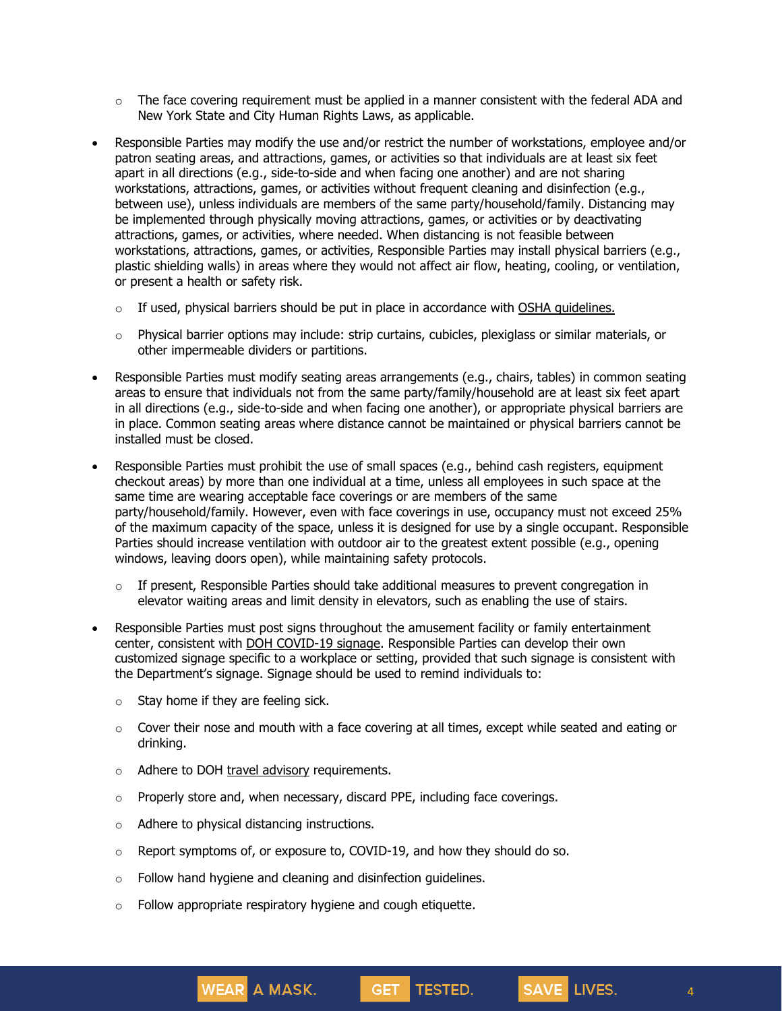- $\circ$  The face covering requirement must be applied in a manner consistent with the federal ADA and New York State and City Human Rights Laws, as applicable.
- Responsible Parties may modify the use and/or restrict the number of workstations, employee and/or patron seating areas, and attractions, games, or activities so that individuals are at least six feet apart in all directions (e.g., side-to-side and when facing one another) and are not sharing workstations, attractions, games, or activities without frequent cleaning and disinfection (e.g., between use), unless individuals are members of the same party/household/family. Distancing may be implemented through physically moving attractions, games, or activities or by deactivating attractions, games, or activities, where needed. When distancing is not feasible between workstations, attractions, games, or activities, Responsible Parties may install physical barriers (e.g., plastic shielding walls) in areas where they would not affect air flow, heating, cooling, or ventilation, or present a health or safety risk.
	- $\circ$  If used, physical barriers should be put in place in accordance with OSHA [guidelines.](https://www.osha.gov/Publications/OSHA3990.pdf)
	- $\circ$  Physical barrier options may include: strip curtains, cubicles, plexiglass or similar materials, or other impermeable dividers or partitions.
- Responsible Parties must modify seating areas arrangements (e.g., chairs, tables) in common seating areas to ensure that individuals not from the same party/family/household are at least six feet apart in all directions (e.g., side-to-side and when facing one another), or appropriate physical barriers are in place. Common seating areas where distance cannot be maintained or physical barriers cannot be installed must be closed.
- Responsible Parties must prohibit the use of small spaces (e.g., behind cash registers, equipment checkout areas) by more than one individual at a time, unless all employees in such space at the same time are wearing acceptable face coverings or are members of the same party/household/family. However, even with face coverings in use, occupancy must not exceed 25% of the maximum capacity of the space, unless it is designed for use by a single occupant. Responsible Parties should increase ventilation with outdoor air to the greatest extent possible (e.g., opening windows, leaving doors open), while maintaining safety protocols.
	- $\circ$  If present, Responsible Parties should take additional measures to prevent congregation in elevator waiting areas and limit density in elevators, such as enabling the use of stairs.
- Responsible Parties must post signs throughout the amusement facility or family entertainment center, consistent with DOH [COVID-19](https://coronavirus.health.ny.gov/system/files/documents/2020/04/13067_coronavirus_protectyourself_poster_042020.pdf) signage. Responsible Parties can develop their own customized signage specific to a workplace or setting, provided that such signage is consistent with the Department's signage. Signage should be used to remind individuals to:
	- $\circ$  Stay home if they are feeling sick.
	- $\circ$  Cover their nose and mouth with a face covering at all times, except while seated and eating or drinking.

GET TESTED.

- o Adhere to DOH travel [advisory](https://coronavirus.health.ny.gov/covid-19-travel-advisory) requirements.
- $\circ$  Properly store and, when necessary, discard PPE, including face coverings.
- o Adhere to physical distancing instructions.

WEAR A MASK.

- $\circ$  Report symptoms of, or exposure to, COVID-19, and how they should do so.
- $\circ$  Follow hand hygiene and cleaning and disinfection guidelines.
- $\circ$  Follow appropriate respiratory hygiene and cough etiquette.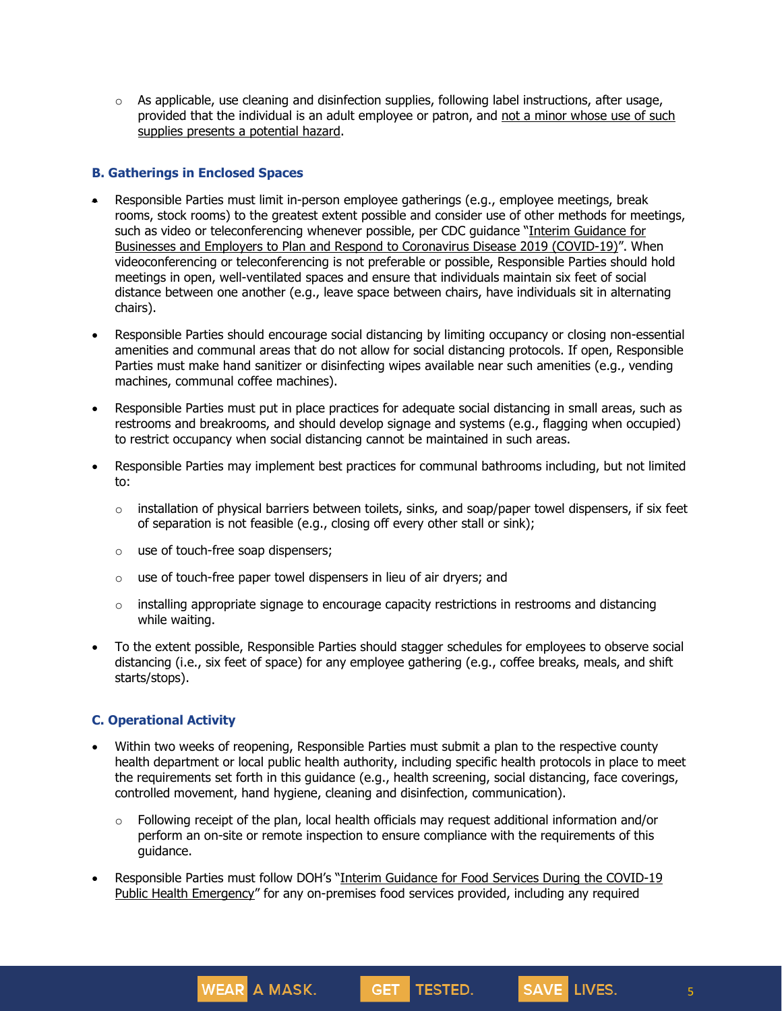$\circ$  As applicable, use cleaning and disinfection supplies, following label instructions, after usage, provided that the individual is an adult employee or patron, and not a minor whose use of such supplies presents a potential hazard.

#### **B. Gatherings in Enclosed Spaces**

- Responsible Parties must limit in-person employee gatherings (e.g., employee meetings, break rooms, stock rooms) to the greatest extent possible and consider use of other methods for meetings, such as video or teleconferencing whenever possible, per CDC guidance "Interim [Guidance](https://www.cdc.gov/coronavirus/2019-ncov/community/guidance-business-response.html) for Businesses and Employers to Plan and Respond to [Coronavirus](https://www.cdc.gov/coronavirus/2019-ncov/community/guidance-business-response.html) Disease 2019 (COVID-19)". When videoconferencing or teleconferencing is not preferable or possible, Responsible Parties should hold meetings in open, well-ventilated spaces and ensure that individuals maintain six feet of social distance between one another (e.g., leave space between chairs, have individuals sit in alternating chairs).
- Responsible Parties should encourage social distancing by limiting occupancy or closing non-essential amenities and communal areas that do not allow for social distancing protocols. If open, Responsible Parties must make hand sanitizer or disinfecting wipes available near such amenities (e.g., vending machines, communal coffee machines).
- Responsible Parties must put in place practices for adequate social distancing in small areas, such as restrooms and breakrooms, and should develop signage and systems (e.g., flagging when occupied) to restrict occupancy when social distancing cannot be maintained in such areas.
- Responsible Parties may implement best practices for communal bathrooms including, but not limited to:
	- $\circ$  installation of physical barriers between toilets, sinks, and soap/paper towel dispensers, if six feet of separation is not feasible (e.g., closing off every other stall or sink);
	- o use of touch-free soap dispensers;
	- $\circ$  use of touch-free paper towel dispensers in lieu of air dryers; and

WEAR A MASK.

- $\circ$  installing appropriate signage to encourage capacity restrictions in restrooms and distancing while waiting.
- To the extent possible, Responsible Parties should stagger schedules for employees to observe social distancing (i.e., six feet of space) for any employee gathering (e.g., coffee breaks, meals, and shift starts/stops).

### **C. Operational Activity**

- Within two weeks of reopening, Responsible Parties must submit a plan to the respective county health department or local public health authority, including specific health protocols in place to meet the requirements set forth in this guidance (e.g., health screening, social distancing, face coverings, controlled movement, hand hygiene, cleaning and disinfection, communication).
	- $\circ$  Following receipt of the plan, local health officials may request additional information and/or perform an on-site or remote inspection to ensure compliance with the requirements of this guidance.
- Responsible Parties must follow DOH's "Interim Guidance for Food Services During the [COVID-19](https://www.governor.ny.gov/sites/governor.ny.gov/files/atoms/files/Indoor_and_Outdoor_Food_Services_Detailed_Guidelines.pdf) Public Health [Emergency](https://www.governor.ny.gov/sites/governor.ny.gov/files/atoms/files/Indoor_and_Outdoor_Food_Services_Detailed_Guidelines.pdf)" for any on-premises food services provided, including any required

GET TESTED.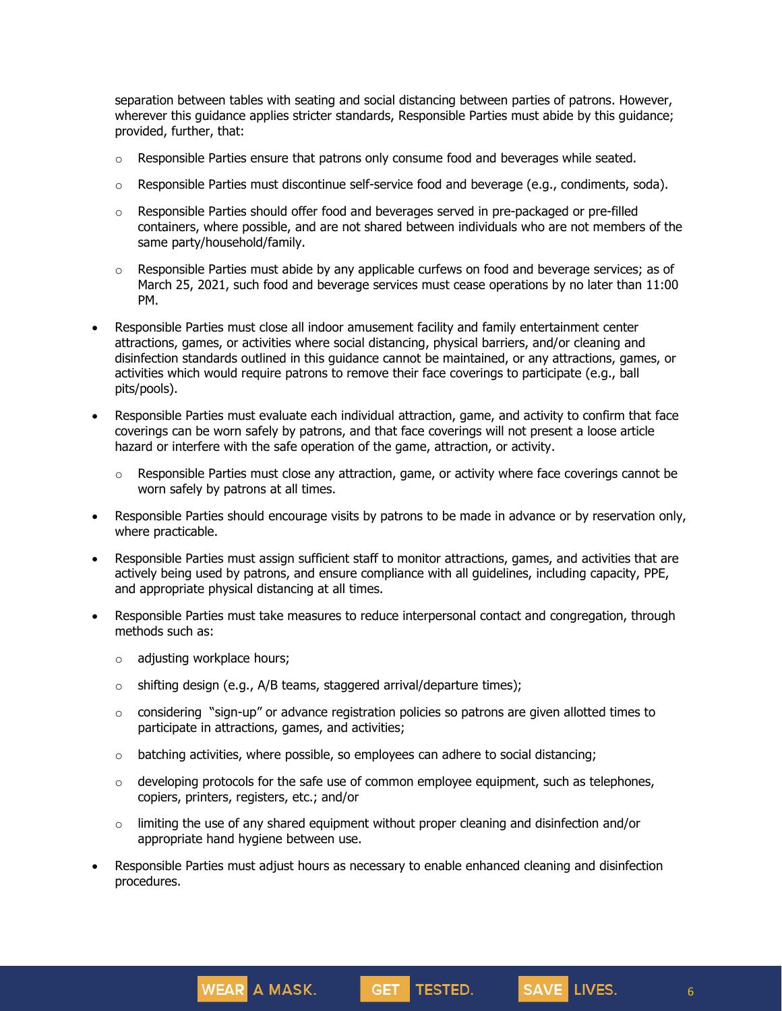separation between tables with seating and social distancing between parties of patrons. However, wherever this guidance applies stricter standards, Responsible Parties must abide by this guidance; provided, further, that:

- $\circ$  Responsible Parties ensure that patrons only consume food and beverages while seated.
- $\circ$  Responsible Parties must discontinue self-service food and beverage (e.g., condiments, soda).
- $\circ$  Responsible Parties should offer food and beverages served in pre-packaged or pre-filled containers, where possible, and are not shared between individuals who are not members of the same party/household/family.
- $\circ$  Responsible Parties must abide by any applicable curfews on food and beverage services; as of March 25, 2021, such food and beverage services must cease operations by no later than 11:00 PM.
- Responsible Parties must close all indoor amusement facility and family entertainment center attractions, games, or activities where social distancing, physical barriers, and/or cleaning and disinfection standards outlined in this guidance cannot be maintained, or any attractions, games, or activities which would require patrons to remove their face coverings to participate (e.g., ball pits/pools).
- Responsible Parties must evaluate each individual attraction, game, and activity to confirm that face coverings can be worn safely by patrons, and that face coverings will not present a loose article hazard or interfere with the safe operation of the game, attraction, or activity.
	- $\circ$  Responsible Parties must close any attraction, game, or activity where face coverings cannot be worn safely by patrons at all times.
- Responsible Parties should encourage visits by patrons to be made in advance or by reservation only, where practicable.
- Responsible Parties must assign sufficient staff to monitor attractions, games, and activities that are actively being used by patrons, and ensure compliance with all guidelines, including capacity, PPE, and appropriate physical distancing at all times.
- Responsible Parties must take measures to reduce interpersonal contact and congregation, through methods such as:
	- o adjusting workplace hours;
	- $\circ$  shifting design (e.g., A/B teams, staggered arrival/departure times);

WEAR A MASK.

- $\circ$  considering "sign-up" or advance registration policies so patrons are given allotted times to participate in attractions, games, and activities;
- $\circ$  batching activities, where possible, so employees can adhere to social distancing;
- $\circ$  developing protocols for the safe use of common employee equipment, such as telephones, copiers, printers, registers, etc.; and/or
- $\circ$  limiting the use of any shared equipment without proper cleaning and disinfection and/or appropriate hand hygiene between use.
- Responsible Parties must adjust hours as necessary to enable enhanced cleaning and disinfection procedures.

GET TESTED.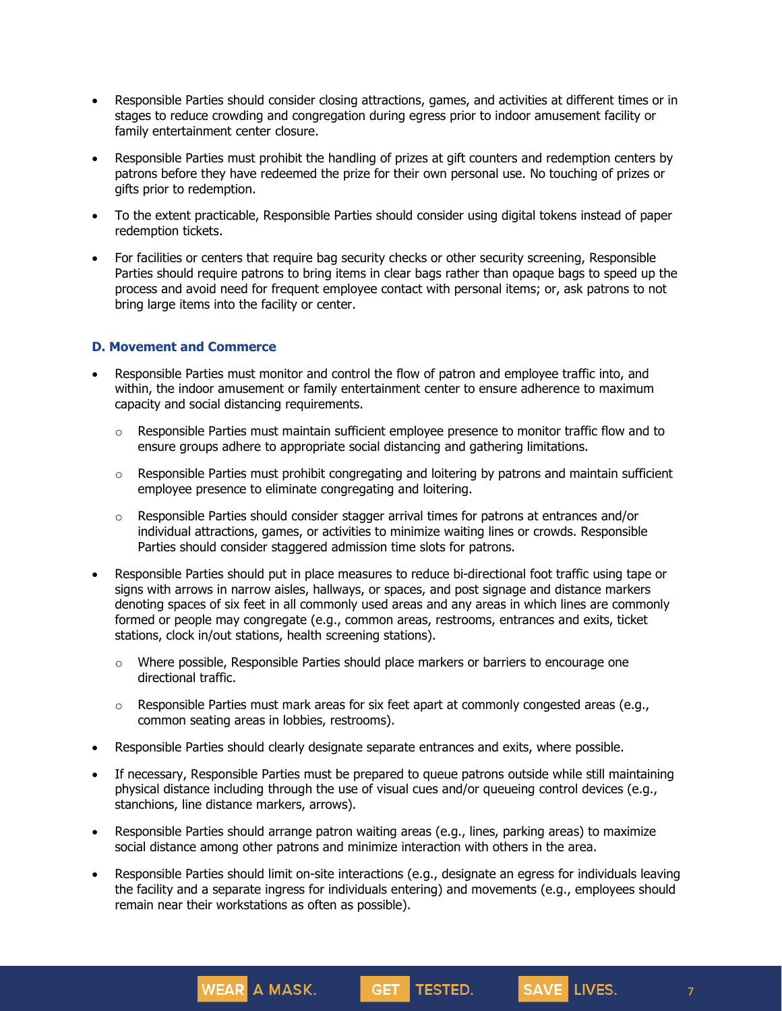- Responsible Parties should consider closing attractions, games, and activities at different times or in stages to reduce crowding and congregation during egress prior to indoor amusement facility or family entertainment center closure.
- Responsible Parties must prohibit the handling of prizes at gift counters and redemption centers by patrons before they have redeemed the prize for their own personal use. No touching of prizes or gifts prior to redemption.
- To the extent practicable, Responsible Parties should consider using digital tokens instead of paper redemption tickets.
- For facilities or centers that require bag security checks or other security screening, Responsible Parties should require patrons to bring items in clear bags rather than opaque bags to speed up the process and avoid need for frequent employee contact with personal items; or, ask patrons to not bring large items into the facility or center.

#### **D. Movement and Commerce**

- Responsible Parties must monitor and control the flow of patron and employee traffic into, and within, the indoor amusement or family entertainment center to ensure adherence to maximum capacity and social distancing requirements.
	- $\circ$  Responsible Parties must maintain sufficient employee presence to monitor traffic flow and to ensure groups adhere to appropriate social distancing and gathering limitations.
	- $\circ$  Responsible Parties must prohibit congregating and loitering by patrons and maintain sufficient employee presence to eliminate congregating and loitering.
	- $\circ$  Responsible Parties should consider stagger arrival times for patrons at entrances and/or individual attractions, games, or activities to minimize waiting lines or crowds. Responsible Parties should consider staggered admission time slots for patrons.
- Responsible Parties should put in place measures to reduce bi-directional foot traffic using tape or signs with arrows in narrow aisles, hallways, or spaces, and post signage and distance markers denoting spaces of six feet in all commonly used areas and any areas in which lines are commonly formed or people may congregate (e.g., common areas, restrooms, entrances and exits, ticket stations, clock in/out stations, health screening stations).
	- $\circ$  Where possible, Responsible Parties should place markers or barriers to encourage one directional traffic.
	- $\circ$  Responsible Parties must mark areas for six feet apart at commonly congested areas (e.g., common seating areas in lobbies, restrooms).
- Responsible Parties should clearly designate separate entrances and exits, where possible.
- If necessary, Responsible Parties must be prepared to queue patrons outside while still maintaining physical distance including through the use of visual cues and/or queueing control devices (e.g., stanchions, line distance markers, arrows).
- Responsible Parties should arrange patron waiting areas (e.g., lines, parking areas) to maximize social distance among other patrons and minimize interaction with others in the area.

WEAR A MASK.

Responsible Parties should limit on-site interactions (e.g., designate an egress for individuals leaving the facility and a separate ingress for individuals entering) and movements (e.g., employees should remain near their workstations as often as possible).

**GET TESTED.**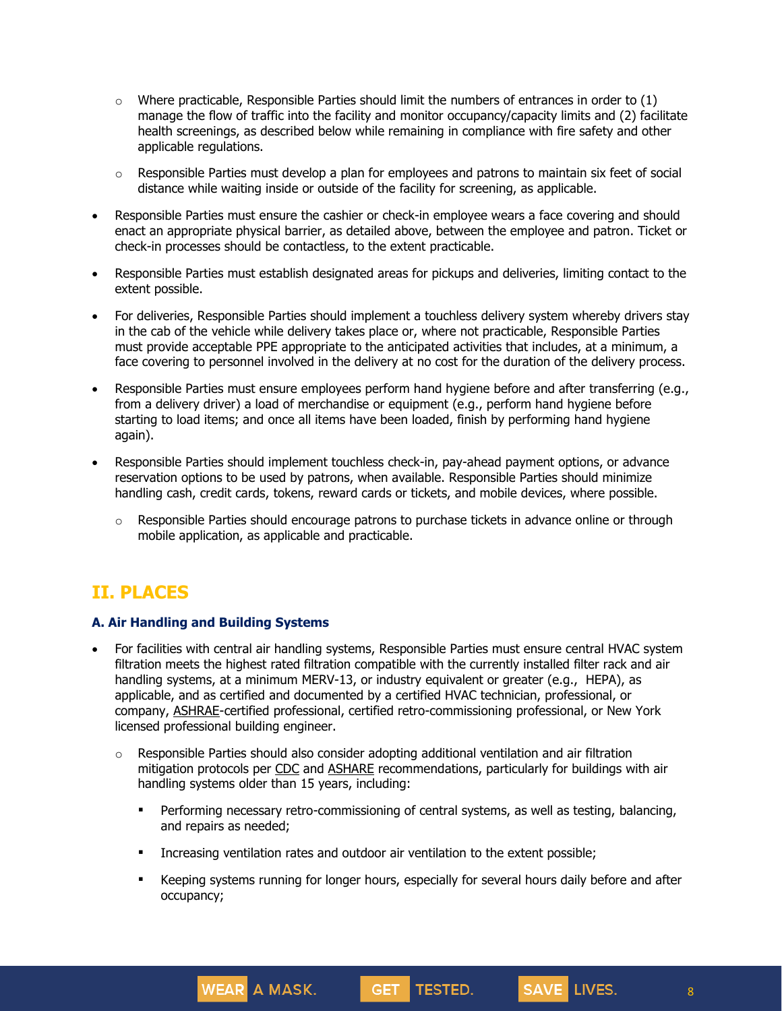- $\circ$  Where practicable, Responsible Parties should limit the numbers of entrances in order to (1) manage the flow of traffic into the facility and monitor occupancy/capacity limits and (2) facilitate health screenings, as described below while remaining in compliance with fire safety and other applicable regulations.
- $\circ$  Responsible Parties must develop a plan for employees and patrons to maintain six feet of social distance while waiting inside or outside of the facility for screening, as applicable.
- Responsible Parties must ensure the cashier or check-in employee wears a face covering and should enact an appropriate physical barrier, as detailed above, between the employee and patron. Ticket or check-in processes should be contactless, to the extent practicable.
- Responsible Parties must establish designated areas for pickups and deliveries, limiting contact to the extent possible.
- For deliveries, Responsible Parties should implement a touchless delivery system whereby drivers stay in the cab of the vehicle while delivery takes place or, where not practicable, Responsible Parties must provide acceptable PPE appropriate to the anticipated activities that includes, at a minimum, a face covering to personnel involved in the delivery at no cost for the duration of the delivery process.
- Responsible Parties must ensure employees perform hand hygiene before and after transferring (e.g., from a delivery driver) a load of merchandise or equipment (e.g., perform hand hygiene before starting to load items; and once all items have been loaded, finish by performing hand hygiene again).
- Responsible Parties should implement touchless check-in, pay-ahead payment options, or advance reservation options to be used by patrons, when available. Responsible Parties should minimize handling cash, credit cards, tokens, reward cards or tickets, and mobile devices, where possible.
	- $\circ$  Responsible Parties should encourage patrons to purchase tickets in advance online or through mobile application, as applicable and practicable.

# **II. PLACES**

#### **A. Air Handling and Building Systems**

**WEAR** A MASK.

- For facilities with central air handling systems, Responsible Parties must ensure central HVAC system filtration meets the highest rated filtration compatible with the currently installed filter rack and air handling systems, at a minimum MERV-13, or industry equivalent or greater (e.g., HEPA), as applicable, and as certified and documented by a certified HVAC technician, professional, or company, [ASHRAE-](https://www.ashrae.org/about/news/2020/ashrae-offers-covid-19-building-readiness-reopening-guidance)certified professional, certified retro-commissioning professional, or New York licensed professional building engineer.
	- $\circ$  Responsible Parties should also consider adopting additional ventilation and air filtration mitigation protocols per [CDC](https://www.cdc.gov/coronavirus/2019-ncov/community/guidance-business-response.html) and [ASHARE](https://www.ashrae.org/technical-resources/resources) recommendations, particularly for buildings with air handling systems older than 15 years, including:
		- **•** Performing necessary retro-commissioning of central systems, as well as testing, balancing, and repairs as needed;
		- **•** Increasing ventilation rates and outdoor air ventilation to the extent possible;
		- **■** Keeping systems running for longer hours, especially for several hours daily before and after occupancy;

GET TESTED.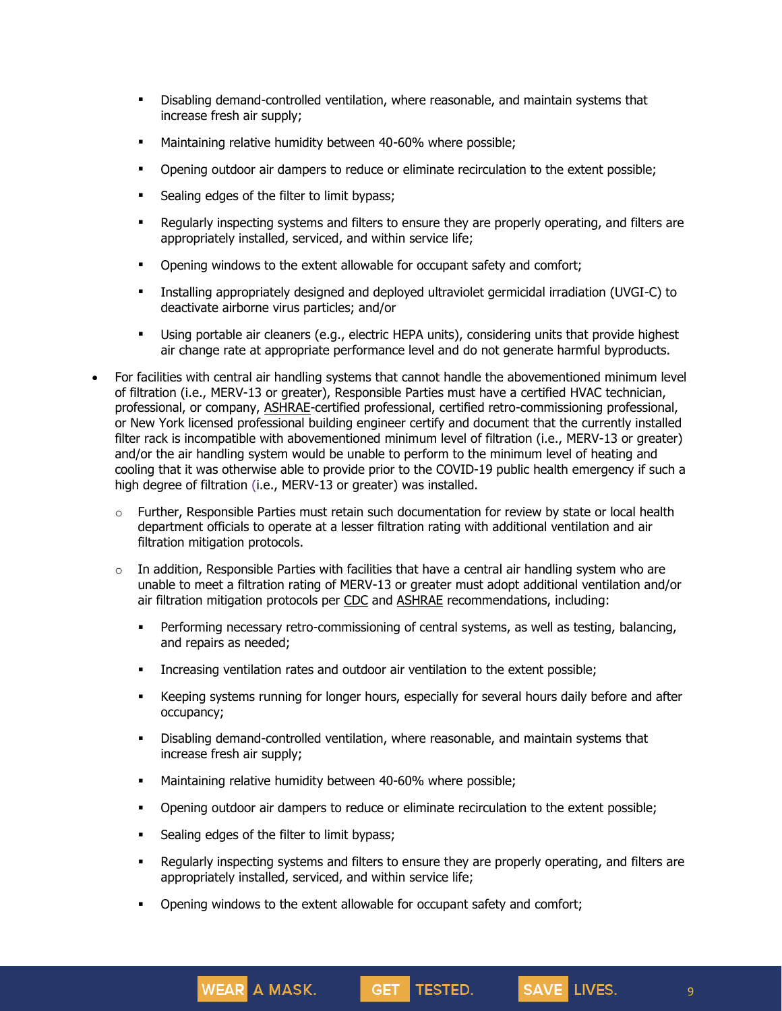- Disabling demand-controlled ventilation, where reasonable, and maintain systems that increase fresh air supply;
- **■** Maintaining relative humidity between 40-60% where possible;
- **•** Opening outdoor air dampers to reduce or eliminate recirculation to the extent possible;
- **•** Sealing edges of the filter to limit bypass;
- **■** Regularly inspecting systems and filters to ensure they are properly operating, and filters are appropriately installed, serviced, and within service life;
- **•** Opening windows to the extent allowable for occupant safety and comfort;
- Installing appropriately designed and deployed ultraviolet germicidal irradiation (UVGI-C) to deactivate airborne virus particles; and/or
- Using portable air cleaners (e.g., electric HEPA units), considering units that provide highest air change rate at appropriate performance level and do not generate harmful byproducts.
- For facilities with central air handling systems that cannot handle the abovementioned minimum level of filtration (i.e., MERV-13 or greater), Responsible Parties must have a certified HVAC technician, professional, or company, [ASHRAE-](https://www.ashrae.org/about/news/2020/ashrae-offers-covid-19-building-readiness-reopening-guidance)certified professional, certified retro-commissioning professional, or New York licensed professional building engineer certify and document that the currently installed filter rack is incompatible with abovementioned minimum level of filtration (i.e., MERV-13 or greater) and/or the air handling system would be unable to perform to the minimum level of heating and cooling that it was otherwise able to provide prior to the COVID-19 public health emergency if such a high degree of filtration (i.e., MERV-13 or greater) was installed.
	- $\circ$  Further, Responsible Parties must retain such documentation for review by state or local health department officials to operate at a lesser filtration rating with additional ventilation and air filtration mitigation protocols.
	- $\circ$  In addition, Responsible Parties with facilities that have a central air handling system who are unable to meet a filtration rating of MERV-13 or greater must adopt additional ventilation and/or air filtration mitigation protocols per [CDC](https://www.cdc.gov/coronavirus/2019-ncov/community/guidance-business-response.html) and [ASHRAE](https://www.ashrae.org/technical-resources/resources) recommendations, including:
		- **•** Performing necessary retro-commissioning of central systems, as well as testing, balancing, and repairs as needed;
		- Increasing ventilation rates and outdoor air ventilation to the extent possible;
		- **EXECT** Keeping systems running for longer hours, especially for several hours daily before and after occupancy;
		- Disabling demand-controlled ventilation, where reasonable, and maintain systems that increase fresh air supply;
		- **■** Maintaining relative humidity between 40-60% where possible;
		- Opening outdoor air dampers to reduce or eliminate recirculation to the extent possible;
		- **•** Sealing edges of the filter to limit bypass;

**WEAR** A MASK.

▪ Regularly inspecting systems and filters to ensure they are properly operating, and filters are appropriately installed, serviced, and within service life;

GET TESTED.

**•** Opening windows to the extent allowable for occupant safety and comfort;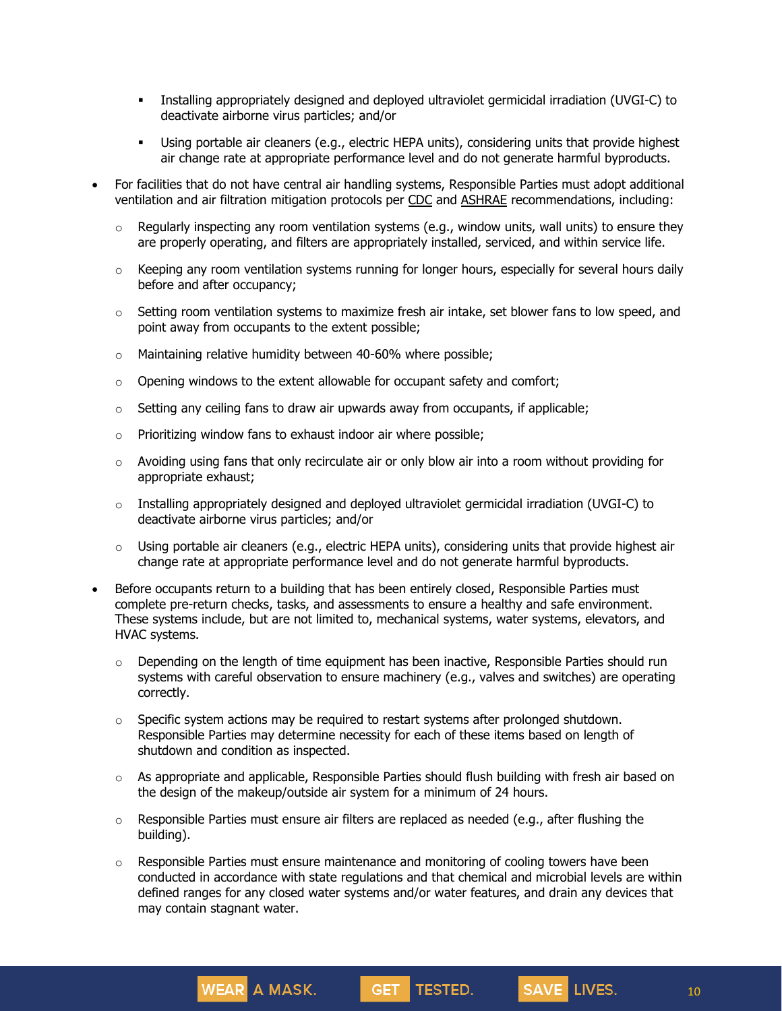- Installing appropriately designed and deployed ultraviolet germicidal irradiation (UVGI-C) to deactivate airborne virus particles; and/or
- Using portable air cleaners (e.g., electric HEPA units), considering units that provide highest air change rate at appropriate performance level and do not generate harmful byproducts.
- For facilities that do not have central air handling systems, Responsible Parties must adopt additional ventilation and air filtration mitigation protocols per [CDC](https://www.cdc.gov/coronavirus/2019-ncov/community/guidance-business-response.html) and [ASHRAE](https://www.ashrae.org/technical-resources/resources) recommendations, including:
	- $\circ$  Regularly inspecting any room ventilation systems (e.g., window units, wall units) to ensure they are properly operating, and filters are appropriately installed, serviced, and within service life.
	- $\circ$  Keeping any room ventilation systems running for longer hours, especially for several hours daily before and after occupancy;
	- $\circ$  Setting room ventilation systems to maximize fresh air intake, set blower fans to low speed, and point away from occupants to the extent possible;
	- o Maintaining relative humidity between 40-60% where possible;
	- $\circ$  Opening windows to the extent allowable for occupant safety and comfort;
	- $\circ$  Setting any ceiling fans to draw air upwards away from occupants, if applicable;
	- $\circ$  Prioritizing window fans to exhaust indoor air where possible;

WEAR A MASK.

- $\circ$  Avoiding using fans that only recirculate air or only blow air into a room without providing for appropriate exhaust;
- $\circ$  Installing appropriately designed and deployed ultraviolet germicidal irradiation (UVGI-C) to deactivate airborne virus particles; and/or
- $\circ$  Using portable air cleaners (e.g., electric HEPA units), considering units that provide highest air change rate at appropriate performance level and do not generate harmful byproducts.
- Before occupants return to a building that has been entirely closed, Responsible Parties must complete pre-return checks, tasks, and assessments to ensure a healthy and safe environment. These systems include, but are not limited to, mechanical systems, water systems, elevators, and HVAC systems.
	- $\circ$  Depending on the length of time equipment has been inactive, Responsible Parties should run systems with careful observation to ensure machinery (e.g., valves and switches) are operating correctly.
	- $\circ$  Specific system actions may be required to restart systems after prolonged shutdown. Responsible Parties may determine necessity for each of these items based on length of shutdown and condition as inspected.
	- $\circ$  As appropriate and applicable, Responsible Parties should flush building with fresh air based on the design of the makeup/outside air system for a minimum of 24 hours.
	- $\circ$  Responsible Parties must ensure air filters are replaced as needed (e.g., after flushing the building).
	- $\circ$  Responsible Parties must ensure maintenance and monitoring of cooling towers have been conducted in accordance with state regulations and that chemical and microbial levels are within defined ranges for any closed water systems and/or water features, and drain any devices that may contain stagnant water.

GET TESTED.

10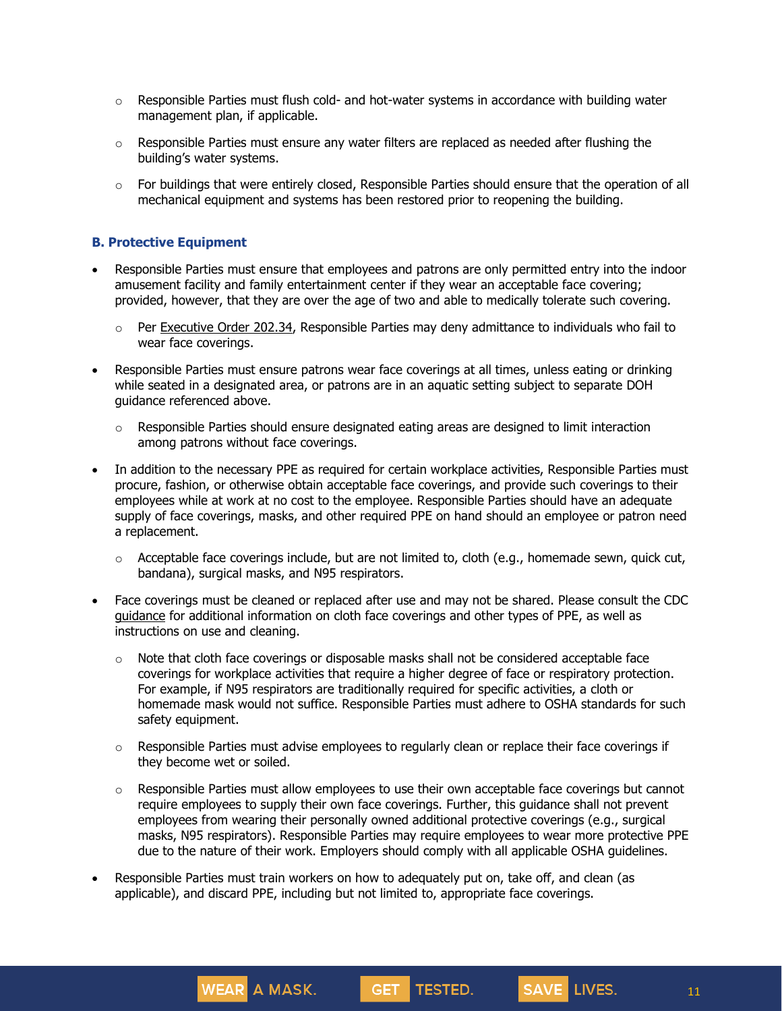- $\circ$  Responsible Parties must flush cold- and hot-water systems in accordance with building water management plan, if applicable.
- $\circ$  Responsible Parties must ensure any water filters are replaced as needed after flushing the building's water systems.
- $\circ$  For buildings that were entirely closed, Responsible Parties should ensure that the operation of all mechanical equipment and systems has been restored prior to reopening the building.

#### **B. Protective Equipment**

- Responsible Parties must ensure that employees and patrons are only permitted entry into the indoor amusement facility and family entertainment center if they wear an acceptable face covering; provided, however, that they are over the age of two and able to medically tolerate such covering.
	- $\circ$  Per [Executive](https://www.governor.ny.gov/news/no-20234-continuing-temporary-suspension-and-modification-laws-relating-disaster-emergency) Order 202.34, Responsible Parties may deny admittance to individuals who fail to wear face coverings.
- Responsible Parties must ensure patrons wear face coverings at all times, unless eating or drinking while seated in a designated area, or patrons are in an aquatic setting subject to separate DOH guidance referenced above.
	- Responsible Parties should ensure designated eating areas are designed to limit interaction among patrons without face coverings.
- In addition to the necessary PPE as required for certain workplace activities, Responsible Parties must procure, fashion, or otherwise obtain acceptable face coverings, and provide such coverings to their employees while at work at no cost to the employee. Responsible Parties should have an adequate supply of face coverings, masks, and other required PPE on hand should an employee or patron need a replacement.
	- $\circ$  Acceptable face coverings include, but are not limited to, cloth (e.g., homemade sewn, quick cut, bandana), surgical masks, and N95 respirators.
- Face coverings must be cleaned or replaced after use and may not be shared. Please consult the CDC [guidance](https://www.cdc.gov/coronavirus/2019-ncov/community/guidance-business-response.html) for additional information on cloth face coverings and other types of PPE, as well as instructions on use and cleaning.
	- $\circ$  Note that cloth face coverings or disposable masks shall not be considered acceptable face coverings for workplace activities that require a higher degree of face or respiratory protection. For example, if N95 respirators are traditionally required for specific activities, a cloth or homemade mask would not suffice. Responsible Parties must adhere to OSHA standards for such safety equipment.
	- $\circ$  Responsible Parties must advise employees to regularly clean or replace their face coverings if they become wet or soiled.
	- $\circ$  Responsible Parties must allow employees to use their own acceptable face coverings but cannot require employees to supply their own face coverings. Further, this guidance shall not prevent employees from wearing their personally owned additional protective coverings (e.g., surgical masks, N95 respirators). Responsible Parties may require employees to wear more protective PPE due to the nature of their work. Employers should comply with all applicable OSHA guidelines.
- Responsible Parties must train workers on how to adequately put on, take off, and clean (as applicable), and discard PPE, including but not limited to, appropriate face coverings.

**GET** 

TESTED.

WEAR A MASK.

11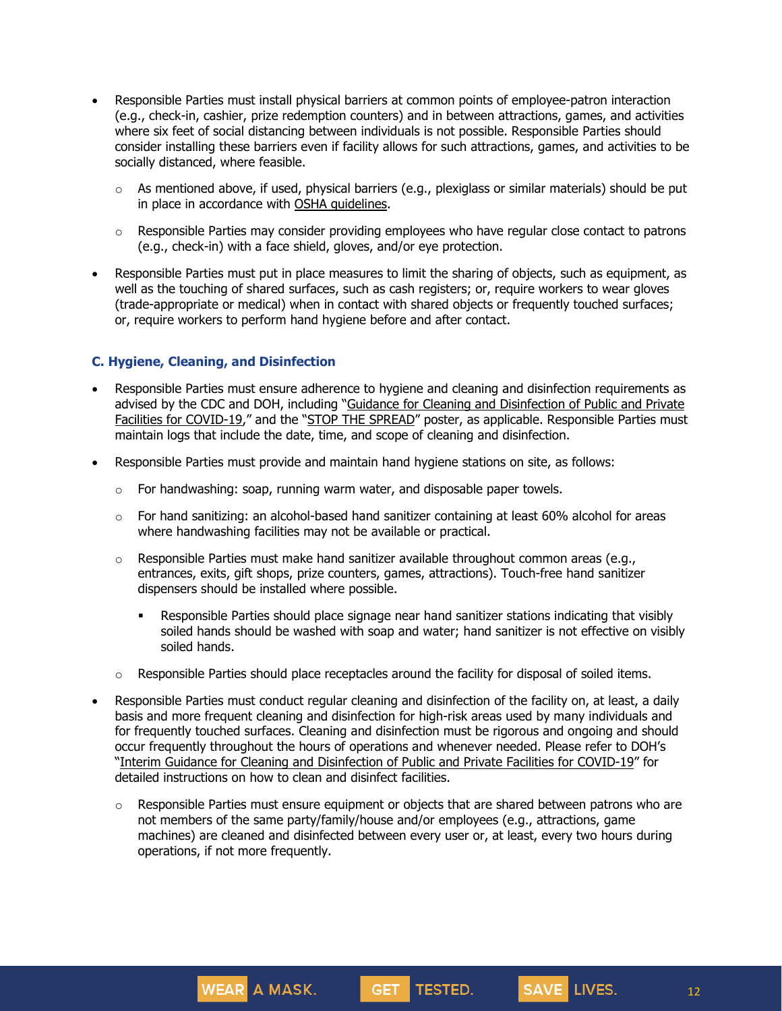- Responsible Parties must install physical barriers at common points of employee-patron interaction (e.g., check-in, cashier, prize redemption counters) and in between attractions, games, and activities where six feet of social distancing between individuals is not possible. Responsible Parties should consider installing these barriers even if facility allows for such attractions, games, and activities to be socially distanced, where feasible.
	- o As mentioned above, if used, physical barriers (e.g., plexiglass or similar materials) should be put in place in accordance with OSHA quidelines.
	- o Responsible Parties may consider providing employees who have regular close contact to patrons (e.g., check-in) with a face shield, gloves, and/or eye protection.
- Responsible Parties must put in place measures to limit the sharing of objects, such as equipment, as well as the touching of shared surfaces, such as cash registers; or, require workers to wear gloves (trade-appropriate or medical) when in contact with shared objects or frequently touched surfaces; or, require workers to perform hand hygiene before and after contact.

### **C. Hygiene, Cleaning, and Disinfection**

**WEAR** A MASK.

- Responsible Parties must ensure adherence to hygiene and cleaning and disinfection requirements as advised by the CDC and DOH, including "Guidance for Cleaning and [Disinfection](https://coronavirus.health.ny.gov/system/files/documents/2020/08/interim-guidance-public-and-private-facilities_1.pdf) of Public and Private Facilities for [COVID-19](https://coronavirus.health.ny.gov/system/files/documents/2020/08/interim-guidance-public-and-private-facilities_1.pdf)," and the "STOP THE [SPREAD](https://coronavirus.health.ny.gov/system/files/documents/2020/04/13067_coronavirus_protectyourself_poster_042020.pdf)" poster, as applicable. Responsible Parties must maintain logs that include the date, time, and scope of cleaning and disinfection.
- Responsible Parties must provide and maintain hand hygiene stations on site, as follows:
	- $\circ$  For handwashing: soap, running warm water, and disposable paper towels.
	- $\circ$  For hand sanitizing: an alcohol-based hand sanitizer containing at least 60% alcohol for areas where handwashing facilities may not be available or practical.
	- $\circ$  Responsible Parties must make hand sanitizer available throughout common areas (e.g., entrances, exits, gift shops, prize counters, games, attractions). Touch-free hand sanitizer dispensers should be installed where possible.
		- **•** Responsible Parties should place signage near hand sanitizer stations indicating that visibly soiled hands should be washed with soap and water; hand sanitizer is not effective on visibly soiled hands.
	- $\circ$  Responsible Parties should place receptacles around the facility for disposal of soiled items.
- Responsible Parties must conduct regular cleaning and disinfection of the facility on, at least, a daily basis and more frequent cleaning and disinfection for high-risk areas used by many individuals and for frequently touched surfaces. Cleaning and disinfection must be rigorous and ongoing and should occur frequently throughout the hours of operations and whenever needed. Please refer to DOH's "Interim Guidance for Cleaning and [Disinfection](https://coronavirus.health.ny.gov/system/files/documents/2020/08/interim-guidance-public-and-private-facilities_1.pdf) of Public and Private Facilities for COVID-19" for detailed instructions on how to clean and disinfect facilities.
	- $\circ$  Responsible Parties must ensure equipment or objects that are shared between patrons who are not members of the same party/family/house and/or employees (e.g., attractions, game machines) are cleaned and disinfected between every user or, at least, every two hours during operations, if not more frequently.

**GET** 

TESTED.

12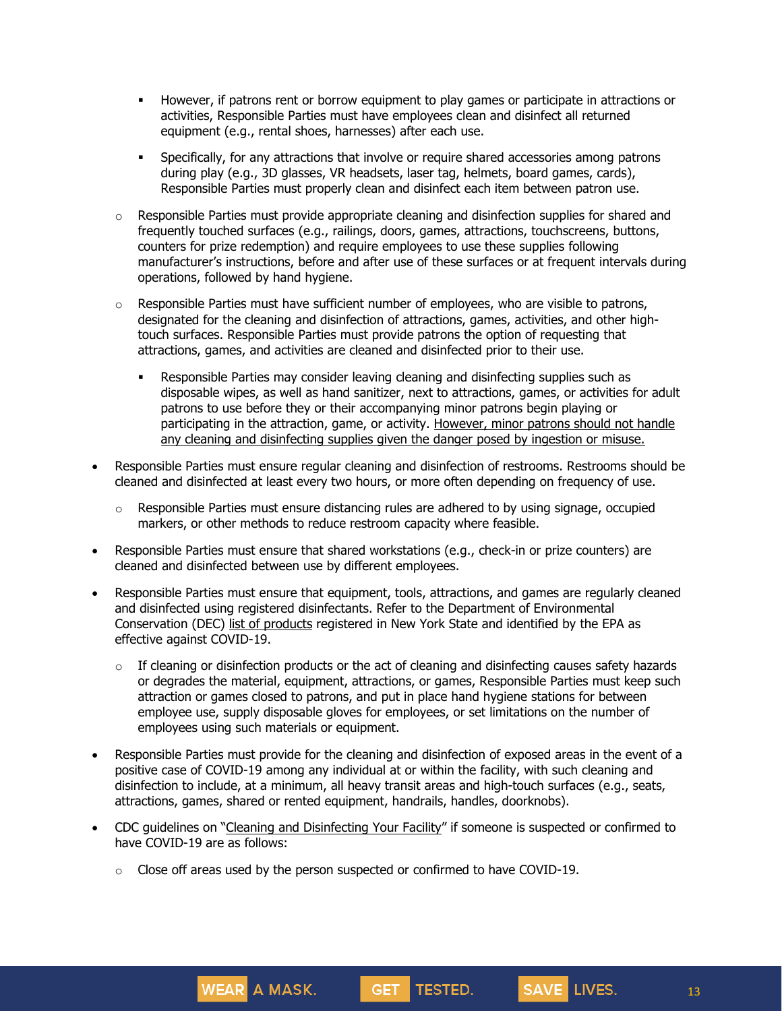- **•** However, if patrons rent or borrow equipment to play games or participate in attractions or activities, Responsible Parties must have employees clean and disinfect all returned equipment (e.g., rental shoes, harnesses) after each use.
- **•** Specifically, for any attractions that involve or require shared accessories among patrons during play (e.g., 3D glasses, VR headsets, laser tag, helmets, board games, cards), Responsible Parties must properly clean and disinfect each item between patron use.
- $\circ$  Responsible Parties must provide appropriate cleaning and disinfection supplies for shared and frequently touched surfaces (e.g., railings, doors, games, attractions, touchscreens, buttons, counters for prize redemption) and require employees to use these supplies following manufacturer's instructions, before and after use of these surfaces or at frequent intervals during operations, followed by hand hygiene.
- $\circ$  Responsible Parties must have sufficient number of employees, who are visible to patrons, designated for the cleaning and disinfection of attractions, games, activities, and other hightouch surfaces. Responsible Parties must provide patrons the option of requesting that attractions, games, and activities are cleaned and disinfected prior to their use.
	- Responsible Parties may consider leaving cleaning and disinfecting supplies such as disposable wipes, as well as hand sanitizer, next to attractions, games, or activities for adult patrons to use before they or their accompanying minor patrons begin playing or participating in the attraction, game, or activity. However, minor patrons should not handle any cleaning and disinfecting supplies given the danger posed by ingestion or misuse.
- Responsible Parties must ensure regular cleaning and disinfection of restrooms. Restrooms should be cleaned and disinfected at least every two hours, or more often depending on frequency of use.
	- $\circ$  Responsible Parties must ensure distancing rules are adhered to by using signage, occupied markers, or other methods to reduce restroom capacity where feasible.
- Responsible Parties must ensure that shared workstations (e.g., check-in or prize counters) are cleaned and disinfected between use by different employees.
- Responsible Parties must ensure that equipment, tools, attractions, and games are regularly cleaned and disinfected using registered disinfectants. Refer to the Department of Environmental Conservation (DEC) list of [products](http://www.dec.ny.gov/docs/materials_minerals_pdf/covid19.pdf) registered in New York State and identified by the EPA as effective against COVID-19.
	- o If cleaning or disinfection products or the act of cleaning and disinfecting causes safety hazards or degrades the material, equipment, attractions, or games, Responsible Parties must keep such attraction or games closed to patrons, and put in place hand hygiene stations for between employee use, supply disposable gloves for employees, or set limitations on the number of employees using such materials or equipment.
- Responsible Parties must provide for the cleaning and disinfection of exposed areas in the event of a positive case of COVID-19 among any individual at or within the facility, with such cleaning and disinfection to include, at a minimum, all heavy transit areas and high-touch surfaces (e.g., seats, attractions, games, shared or rented equipment, handrails, handles, doorknobs).
- CDC guidelines on "Cleaning and [Disinfecting](https://www.cdc.gov/coronavirus/2019-ncov/community/disinfecting-building-facility.html) Your Facility" if someone is suspected or confirmed to have COVID-19 are as follows:

GET TESTED.

o Close off areas used by the person suspected or confirmed to have COVID-19.

WEAR A MASK.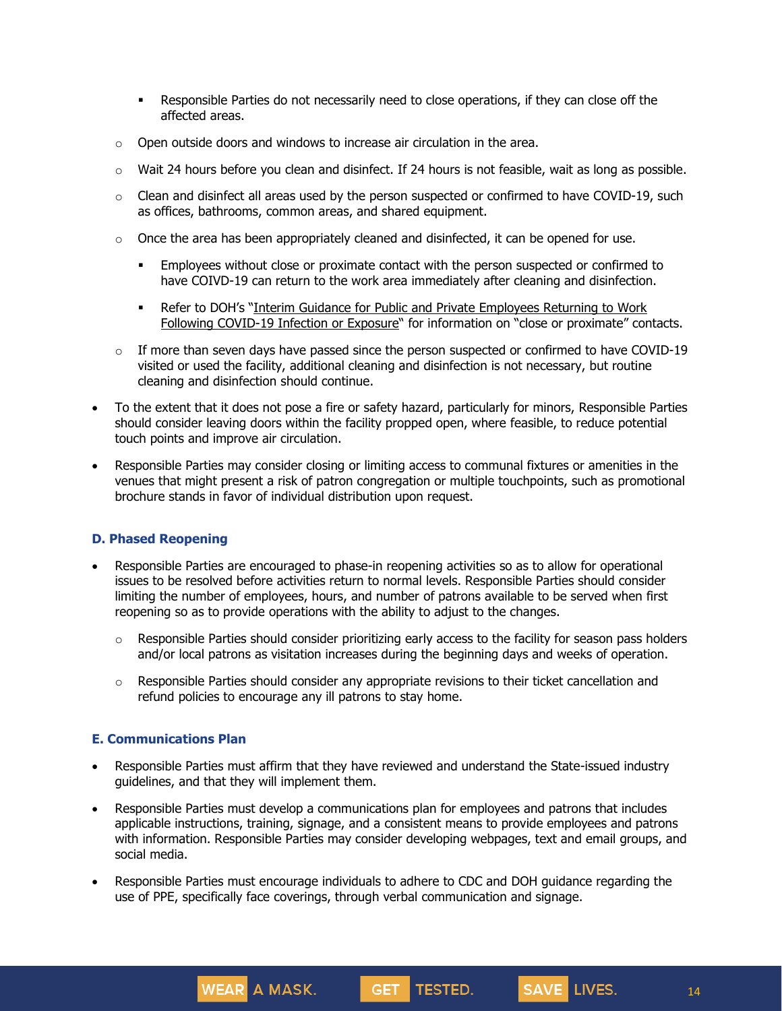- Responsible Parties do not necessarily need to close operations, if they can close off the affected areas.
- o Open outside doors and windows to increase air circulation in the area.
- $\circ$  Wait 24 hours before you clean and disinfect. If 24 hours is not feasible, wait as long as possible.
- o Clean and disinfect all areas used by the person suspected or confirmed to have COVID-19, such as offices, bathrooms, common areas, and shared equipment.
- $\circ$  Once the area has been appropriately cleaned and disinfected, it can be opened for use.
	- **•** Employees without close or proximate contact with the person suspected or confirmed to have COIVD-19 can return to the work area immediately after cleaning and disinfection.
	- Refer to DOH's "Interim Guidance for Public and Private [Employees](https://coronavirus.health.ny.gov/system/files/documents/2020/06/doh_covid19_publicprivateemployeereturntowork_053120.pdf) Returning to Work Following [COVID-19](https://coronavirus.health.ny.gov/system/files/documents/2020/06/doh_covid19_publicprivateemployeereturntowork_053120.pdf) Infection or Exposure" for information on "close or proximate" contacts.
- $\circ$  If more than seven days have passed since the person suspected or confirmed to have COVID-19 visited or used the facility, additional cleaning and disinfection is not necessary, but routine cleaning and disinfection should continue.
- To the extent that it does not pose a fire or safety hazard, particularly for minors, Responsible Parties should consider leaving doors within the facility propped open, where feasible, to reduce potential touch points and improve air circulation.
- Responsible Parties may consider closing or limiting access to communal fixtures or amenities in the venues that might present a risk of patron congregation or multiple touchpoints, such as promotional brochure stands in favor of individual distribution upon request.

#### **D. Phased Reopening**

- Responsible Parties are encouraged to phase-in reopening activities so as to allow for operational issues to be resolved before activities return to normal levels. Responsible Parties should consider limiting the number of employees, hours, and number of patrons available to be served when first reopening so as to provide operations with the ability to adjust to the changes.
	- o Responsible Parties should consider prioritizing early access to the facility for season pass holders and/or local patrons as visitation increases during the beginning days and weeks of operation.
	- $\circ$  Responsible Parties should consider any appropriate revisions to their ticket cancellation and refund policies to encourage any ill patrons to stay home.

#### **E. Communications Plan**

- Responsible Parties must affirm that they have reviewed and understand the State-issued industry guidelines, and that they will implement them.
- Responsible Parties must develop a communications plan for employees and patrons that includes applicable instructions, training, signage, and a consistent means to provide employees and patrons with information. Responsible Parties may consider developing webpages, text and email groups, and social media.
- Responsible Parties must encourage individuals to adhere to CDC and DOH guidance regarding the use of PPE, specifically face coverings, through verbal communication and signage.

GET TESTED.

WEAR A MASK.

14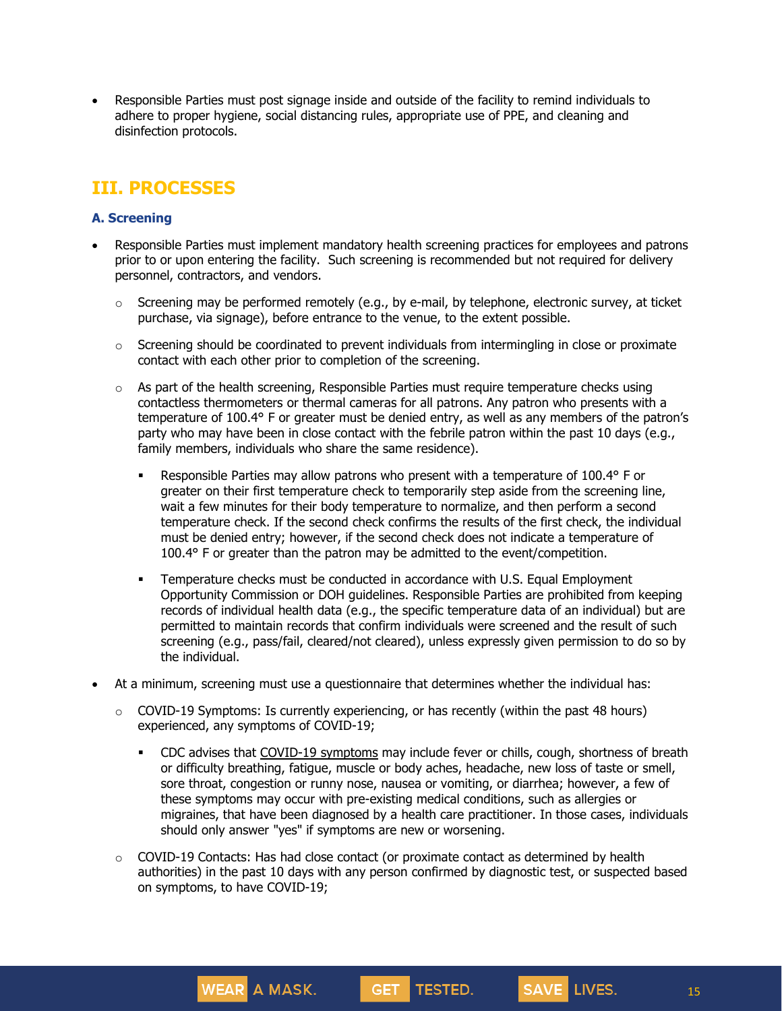• Responsible Parties must post signage inside and outside of the facility to remind individuals to adhere to proper hygiene, social distancing rules, appropriate use of PPE, and cleaning and disinfection protocols.

## **III. PROCESSES**

### **A. Screening**

- Responsible Parties must implement mandatory health screening practices for employees and patrons prior to or upon entering the facility. Such screening is recommended but not required for delivery personnel, contractors, and vendors.
	- $\circ$  Screening may be performed remotely (e.g., by e-mail, by telephone, electronic survey, at ticket purchase, via signage), before entrance to the venue, to the extent possible.
	- $\circ$  Screening should be coordinated to prevent individuals from intermingling in close or proximate contact with each other prior to completion of the screening.
	- $\circ$  As part of the health screening, Responsible Parties must require temperature checks using contactless thermometers or thermal cameras for all patrons. Any patron who presents with a temperature of 100.4° F or greater must be denied entry, as well as any members of the patron's party who may have been in close contact with the febrile patron within the past 10 days (e.g., family members, individuals who share the same residence).
		- **EXE** Responsible Parties may allow patrons who present with a temperature of 100.4° F or greater on their first temperature check to temporarily step aside from the screening line, wait a few minutes for their body temperature to normalize, and then perform a second temperature check. If the second check confirms the results of the first check, the individual must be denied entry; however, if the second check does not indicate a temperature of 100.4° F or greater than the patron may be admitted to the event/competition.
		- **•** Temperature checks must be conducted in accordance with U.S. Equal Employment Opportunity Commission or DOH guidelines. Responsible Parties are prohibited from keeping records of individual health data (e.g., the specific temperature data of an individual) but are permitted to maintain records that confirm individuals were screened and the result of such screening (e.g., pass/fail, cleared/not cleared), unless expressly given permission to do so by the individual.
- At a minimum, screening must use a questionnaire that determines whether the individual has:
	- $\circ$  COVID-19 Symptoms: Is currently experiencing, or has recently (within the past 48 hours) experienced, any symptoms of COVID-19;
		- CDC advises that COVID-19 [symptoms](https://www.cdc.gov/coronavirus/2019-ncov/symptoms-testing/symptoms.html) may include fever or chills, cough, shortness of breath or difficulty breathing, fatigue, muscle or body aches, headache, new loss of taste or smell, sore throat, congestion or runny nose, nausea or vomiting, or diarrhea; however, a few of these symptoms may occur with pre-existing medical conditions, such as allergies or migraines, that have been diagnosed by a health care practitioner. In those cases, individuals should only answer "yes" if symptoms are new or worsening.
	- o COVID-19 Contacts: Has had close contact (or proximate contact as determined by health authorities) in the past 10 days with any person confirmed by diagnostic test, or suspected based on symptoms, to have COVID-19;

**GET** 

TESTED.

**WEAR** A MASK.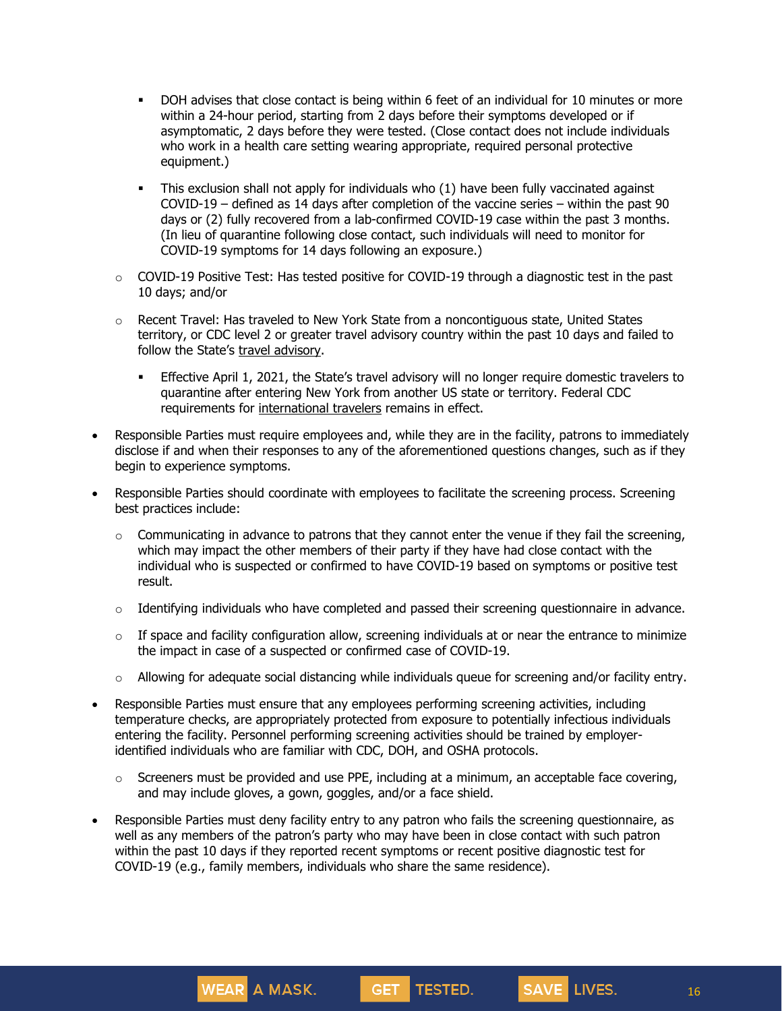- DOH advises that close contact is being within 6 feet of an individual for 10 minutes or more within a 24-hour period, starting from 2 days before their symptoms developed or if asymptomatic, 2 days before they were tested. (Close contact does not include individuals who work in a health care setting wearing appropriate, required personal protective equipment.)
- This exclusion shall not apply for individuals who (1) have been fully vaccinated against COVID-19 – defined as 14 days after completion of the vaccine series – within the past 90 days or (2) fully recovered from a lab-confirmed COVID-19 case within the past 3 months. (In lieu of quarantine following close contact, such individuals will need to monitor for COVID-19 symptoms for 14 days following an exposure.)
- $\circ$  COVID-19 Positive Test: Has tested positive for COVID-19 through a diagnostic test in the past 10 days; and/or
- $\circ$  Recent Travel: Has traveled to New York State from a noncontiguous state, United States territory, or CDC level 2 or greater travel advisory country within the past 10 days and failed to follow the State's travel [advisory.](https://coronavirus.health.ny.gov/covid-19-travel-advisory)
	- Effective April 1, 2021, the State's travel advisory will no longer require domestic travelers to quarantine after entering New York from another US state or territory. Federal CDC requirements for [international](https://www.cdc.gov/coronavirus/2019-ncov/travelers/testing-international-air-travelers.html) travelers remains in effect.
- Responsible Parties must require employees and, while they are in the facility, patrons to immediately disclose if and when their responses to any of the aforementioned questions changes, such as if they begin to experience symptoms.
- Responsible Parties should coordinate with employees to facilitate the screening process. Screening best practices include:
	- $\circ$  Communicating in advance to patrons that they cannot enter the venue if they fail the screening, which may impact the other members of their party if they have had close contact with the individual who is suspected or confirmed to have COVID-19 based on symptoms or positive test result.
	- $\circ$  Identifying individuals who have completed and passed their screening questionnaire in advance.
	- $\circ$  If space and facility configuration allow, screening individuals at or near the entrance to minimize the impact in case of a suspected or confirmed case of COVID-19.
	- $\circ$  Allowing for adequate social distancing while individuals queue for screening and/or facility entry.
- Responsible Parties must ensure that any employees performing screening activities, including temperature checks, are appropriately protected from exposure to potentially infectious individuals entering the facility. Personnel performing screening activities should be trained by employeridentified individuals who are familiar with CDC, DOH, and OSHA protocols.
	- $\circ$  Screeners must be provided and use PPE, including at a minimum, an acceptable face covering, and may include gloves, a gown, goggles, and/or a face shield.

GET TESTED.

Responsible Parties must deny facility entry to any patron who fails the screening questionnaire, as well as any members of the patron's party who may have been in close contact with such patron within the past 10 days if they reported recent symptoms or recent positive diagnostic test for COVID-19 (e.g., family members, individuals who share the same residence).

**WEAR A MASK.** 

16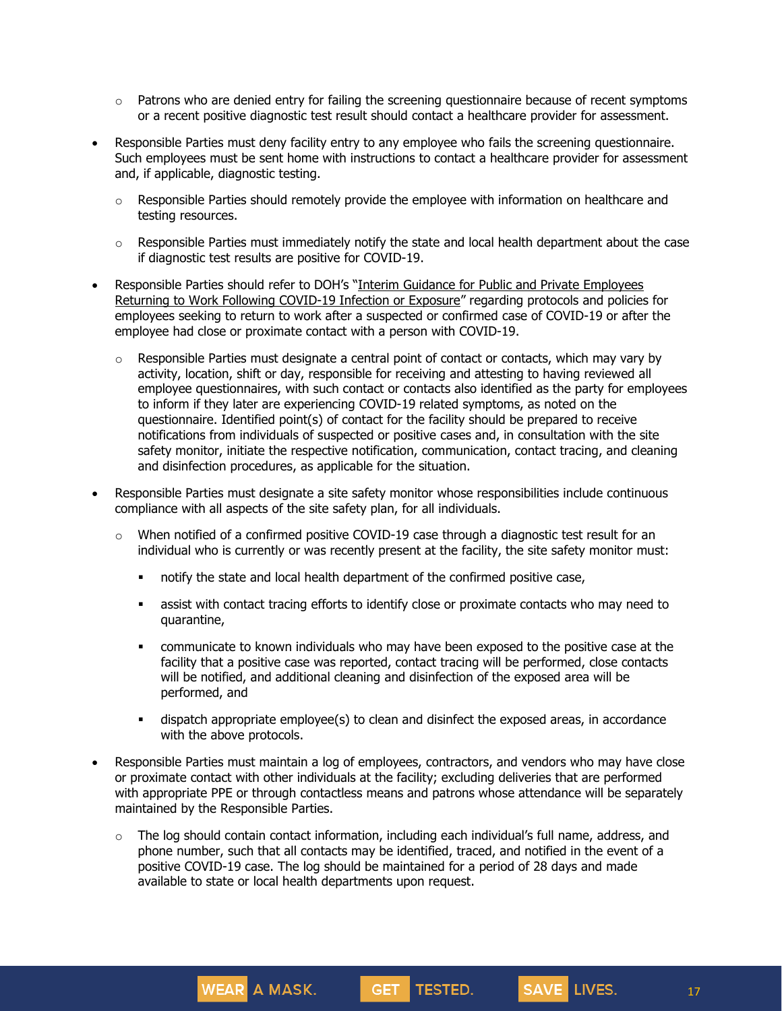- $\circ$  Patrons who are denied entry for failing the screening questionnaire because of recent symptoms or a recent positive diagnostic test result should contact a healthcare provider for assessment.
- Responsible Parties must deny facility entry to any employee who fails the screening questionnaire. Such employees must be sent home with instructions to contact a healthcare provider for assessment and, if applicable, diagnostic testing.
	- $\circ$  Responsible Parties should remotely provide the employee with information on healthcare and testing resources.
	- $\circ$  Responsible Parties must immediately notify the state and local health department about the case if diagnostic test results are positive for COVID-19.
- Responsible Parties should refer to DOH's "Interim Guidance for Public and Private [Employees](https://coronavirus.health.ny.gov/system/files/documents/2020/06/doh_covid19_publicprivateemployeereturntowork_053120.pdf) Returning to Work Following [COVID-19](https://coronavirus.health.ny.gov/system/files/documents/2020/06/doh_covid19_publicprivateemployeereturntowork_053120.pdf) Infection or Exposure" regarding protocols and policies for employees seeking to return to work after a suspected or confirmed case of COVID-19 or after the employee had close or proximate contact with a person with COVID-19.
	- o Responsible Parties must designate a central point of contact or contacts, which may vary by activity, location, shift or day, responsible for receiving and attesting to having reviewed all employee questionnaires, with such contact or contacts also identified as the party for employees to inform if they later are experiencing COVID-19 related symptoms, as noted on the questionnaire. Identified point(s) of contact for the facility should be prepared to receive notifications from individuals of suspected or positive cases and, in consultation with the site safety monitor, initiate the respective notification, communication, contact tracing, and cleaning and disinfection procedures, as applicable for the situation.
- Responsible Parties must designate a site safety monitor whose responsibilities include continuous compliance with all aspects of the site safety plan, for all individuals.
	- $\circ$  When notified of a confirmed positive COVID-19 case through a diagnostic test result for an individual who is currently or was recently present at the facility, the site safety monitor must:
		- notify the state and local health department of the confirmed positive case,
		- **•** assist with contact tracing efforts to identify close or proximate contacts who may need to quarantine,
		- **•** communicate to known individuals who may have been exposed to the positive case at the facility that a positive case was reported, contact tracing will be performed, close contacts will be notified, and additional cleaning and disinfection of the exposed area will be performed, and
		- **EXED** dispatch appropriate employee(s) to clean and disinfect the exposed areas, in accordance with the above protocols.
- Responsible Parties must maintain a log of employees, contractors, and vendors who may have close or proximate contact with other individuals at the facility; excluding deliveries that are performed with appropriate PPE or through contactless means and patrons whose attendance will be separately maintained by the Responsible Parties.
	- $\circ$  The log should contain contact information, including each individual's full name, address, and phone number, such that all contacts may be identified, traced, and notified in the event of a positive COVID-19 case. The log should be maintained for a period of 28 days and made available to state or local health departments upon request.

**GET** 

TESTED.

**WEAR** A MASK.

17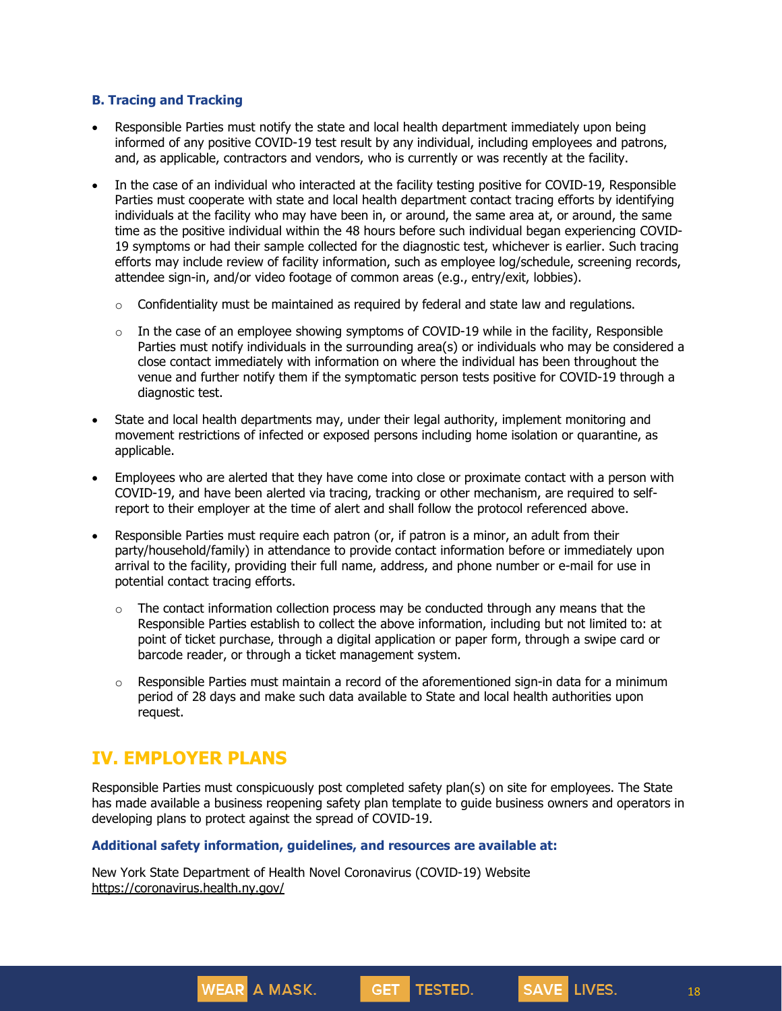#### **B. Tracing and Tracking**

- Responsible Parties must notify the state and local health department immediately upon being informed of any positive COVID-19 test result by any individual, including employees and patrons, and, as applicable, contractors and vendors, who is currently or was recently at the facility.
- In the case of an individual who interacted at the facility testing positive for COVID-19, Responsible Parties must cooperate with state and local health department contact tracing efforts by identifying individuals at the facility who may have been in, or around, the same area at, or around, the same time as the positive individual within the 48 hours before such individual began experiencing COVID-19 symptoms or had their sample collected for the diagnostic test, whichever is earlier. Such tracing efforts may include review of facility information, such as employee log/schedule, screening records, attendee sign-in, and/or video footage of common areas (e.g., entry/exit, lobbies).
	- $\circ$  Confidentiality must be maintained as required by federal and state law and regulations.
	- $\circ$  In the case of an employee showing symptoms of COVID-19 while in the facility, Responsible Parties must notify individuals in the surrounding area(s) or individuals who may be considered a close contact immediately with information on where the individual has been throughout the venue and further notify them if the symptomatic person tests positive for COVID-19 through a diagnostic test.
- State and local health departments may, under their legal authority, implement monitoring and movement restrictions of infected or exposed persons including home isolation or quarantine, as applicable.
- Employees who are alerted that they have come into close or proximate contact with a person with COVID-19, and have been alerted via tracing, tracking or other mechanism, are required to selfreport to their employer at the time of alert and shall follow the protocol referenced above.
- Responsible Parties must require each patron (or, if patron is a minor, an adult from their party/household/family) in attendance to provide contact information before or immediately upon arrival to the facility, providing their full name, address, and phone number or e-mail for use in potential contact tracing efforts.
	- $\circ$  The contact information collection process may be conducted through any means that the Responsible Parties establish to collect the above information, including but not limited to: at point of ticket purchase, through a digital application or paper form, through a swipe card or barcode reader, or through a ticket management system.
	- $\circ$  Responsible Parties must maintain a record of the aforementioned sign-in data for a minimum period of 28 days and make such data available to State and local health authorities upon request.

## **IV. EMPLOYER PLANS**

Responsible Parties must conspicuously post completed safety plan(s) on site for employees. The State has made available a business reopening safety plan template to guide business owners and operators in developing plans to protect against the spread of COVID-19.

**GET** 

TESTED.

#### **Additional safety information, guidelines, and resources are available at:**

New York State Department of Health Novel Coronavirus (COVID-19) Website <https://coronavirus.health.ny.gov/>

**WEAR** A MASK.